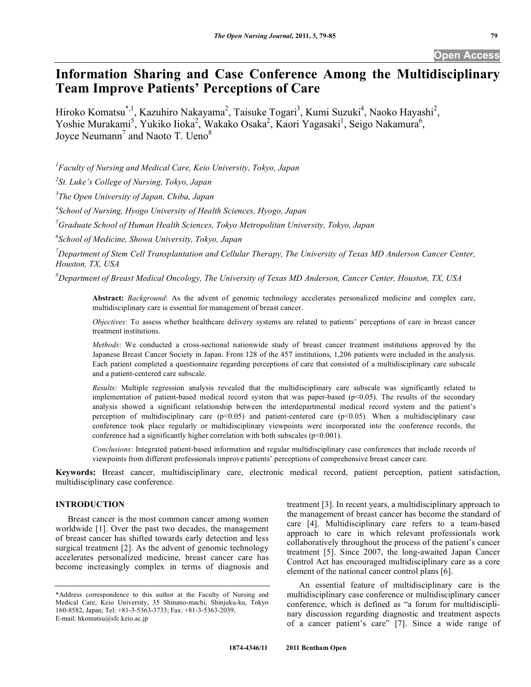# **Information Sharing and Case Conference Among the Multidisciplinary Team Improve Patients' Perceptions of Care**

Hiroko Komatsu<sup>\*, 1</sup>, Kazuhiro Nakayama<sup>2</sup>, Taisuke Togari<sup>3</sup>, Kumi Suzuki<sup>4</sup>, Naoko Hayashi<sup>2</sup>, Yoshie Murakami<sup>5</sup>, Yukiko Iioka<sup>2</sup>, Wakako Osaka<sup>2</sup>, Kaori Yagasaki<sup>1</sup>, Seigo Nakamura<sup>6</sup>, Joyce Neumann<sup>7</sup> and Naoto T. Ueno<sup>8</sup>

*1 Faculty of Nursing and Medical Care, Keio University, Tokyo, Japan* 

*2 St. Luke's College of Nursing, Tokyo, Japan* 

*3 The Open University of Japan, Chiba, Japan* 

*4 School of Nursing, Hyogo University of Health Sciences, Hyogo, Japan* 

*5 Graduate School of Human Health Sciences, Tokyo Metropolitan University, Tokyo, Japan* 

*6 School of Medicine, Showa University, Tokyo, Japan* 

<sup>7</sup> Department of Stem Cell Transplantation and Cellular Therapy, The University of Texas MD Anderson Cancer Center, *Houston, TX, USA* 

*8 Department of Breast Medical Oncology, The University of Texas MD Anderson, Cancer Center, Houston, TX, USA* 

**Abstract:** *Background*: As the advent of genomic technology accelerates personalized medicine and complex care, multidisciplinary care is essential for management of breast cancer.

*Objectives*: To assess whether healthcare delivery systems are related to patients' perceptions of care in breast cancer treatment institutions.

*Methods*: We conducted a cross-sectional nationwide study of breast cancer treatment institutions approved by the Japanese Breast Cancer Society in Japan. From 128 of the 457 institutions, 1,206 patients were included in the analysis. Each patient completed a questionnaire regarding perceptions of care that consisted of a multidisciplinary care subscale and a patient-centered care subscale.

*Results*: Multiple regression analysis revealed that the multidisciplinary care subscale was significantly related to implementation of patient-based medical record system that was paper-based  $(p<0.05)$ . The results of the secondary analysis showed a significant relationship between the interdepartmental medical record system and the patient's perception of multidisciplinary care  $(p<0.05)$  and patient-centered care  $(p<0.05)$ . When a multidisciplinary case conference took place regularly or multidisciplinary viewpoints were incorporated into the conference records, the conference had a significantly higher correlation with both subscales ( $p<0.001$ ).

*Conclusions*: Integrated patient-based information and regular multidisciplinary case conferences that include records of viewpoints from different professionals improve patients' perceptions of comprehensive breast cancer care.

**Keywords:** Breast cancer, multidisciplinary care, electronic medical record, patient perception, patient satisfaction, multidisciplinary case conference.

## **INTRODUCTION**

 Breast cancer is the most common cancer among women worldwide [1]. Over the past two decades, the management of breast cancer has shifted towards early detection and less surgical treatment [2]. As the advent of genomic technology accelerates personalized medicine, breast cancer care has become increasingly complex in terms of diagnosis and treatment [3]. In recent years, a multidisciplinary approach to the management of breast cancer has become the standard of care [4]. Multidisciplinary care refers to a team-based approach to care in which relevant professionals work collaboratively throughout the process of the patient's cancer treatment [5]. Since 2007, the long-awaited Japan Cancer Control Act has encouraged multidisciplinary care as a core element of the national cancer control plans [6].

 An essential feature of multidisciplinary care is the multidisciplinary case conference or multidisciplinary cancer conference, which is defined as "a forum for multidisciplinary discussion regarding diagnostic and treatment aspects of a cancer patient's care" [7]. Since a wide range of

<sup>\*</sup>Address correspondence to this author at the Faculty of Nursing and Medical Care, Keio University, 35 Shinano-machi, Shinjuku-ku, Tokyo 160-8582, Japan; Tel: +81-3-5363-3733; Fax: +81-3-5363-2039, E-mail: hkomatsu@sfc.keio.ac.jp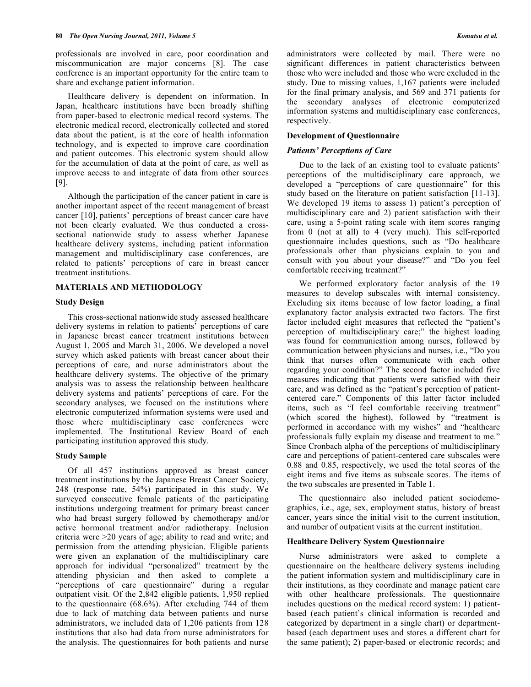professionals are involved in care, poor coordination and miscommunication are major concerns [8]. The case conference is an important opportunity for the entire team to share and exchange patient information.

 Healthcare delivery is dependent on information. In Japan, healthcare institutions have been broadly shifting from paper-based to electronic medical record systems. The electronic medical record, electronically collected and stored data about the patient, is at the core of health information technology, and is expected to improve care coordination and patient outcomes. This electronic system should allow for the accumulation of data at the point of care, as well as improve access to and integrate of data from other sources [9].

 Although the participation of the cancer patient in care is another important aspect of the recent management of breast cancer [10], patients' perceptions of breast cancer care have not been clearly evaluated. We thus conducted a crosssectional nationwide study to assess whether Japanese healthcare delivery systems, including patient information management and multidisciplinary case conferences, are related to patients' perceptions of care in breast cancer treatment institutions.

## **MATERIALS AND METHODOLOGY**

#### **Study Design**

 This cross-sectional nationwide study assessed healthcare delivery systems in relation to patients' perceptions of care in Japanese breast cancer treatment institutions between August 1, 2005 and March 31, 2006. We developed a novel survey which asked patients with breast cancer about their perceptions of care, and nurse administrators about the healthcare delivery systems. The objective of the primary analysis was to assess the relationship between healthcare delivery systems and patients' perceptions of care. For the secondary analyses, we focused on the institutions where electronic computerized information systems were used and those where multidisciplinary case conferences were implemented. The Institutional Review Board of each participating institution approved this study.

#### **Study Sample**

 Of all 457 institutions approved as breast cancer treatment institutions by the Japanese Breast Cancer Society, 248 (response rate, 54%) participated in this study. We surveyed consecutive female patients of the participating institutions undergoing treatment for primary breast cancer who had breast surgery followed by chemotherapy and/or active hormonal treatment and/or radiotherapy. Inclusion criteria were >20 years of age; ability to read and write; and permission from the attending physician. Eligible patients were given an explanation of the multidisciplinary care approach for individual "personalized" treatment by the attending physician and then asked to complete a "perceptions of care questionnaire" during a regular outpatient visit. Of the 2,842 eligible patients, 1,950 replied to the questionnaire (68.6%). After excluding 744 of them due to lack of matching data between patients and nurse administrators, we included data of 1,206 patients from 128 institutions that also had data from nurse administrators for the analysis. The questionnaires for both patients and nurse

administrators were collected by mail. There were no significant differences in patient characteristics between those who were included and those who were excluded in the study. Due to missing values, 1,167 patients were included for the final primary analysis, and 569 and 371 patients for the secondary analyses of electronic computerized information systems and multidisciplinary case conferences, respectively.

#### **Development of Questionnaire**

#### *Patients' Perceptions of Care*

 Due to the lack of an existing tool to evaluate patients' perceptions of the multidisciplinary care approach, we developed a "perceptions of care questionnaire" for this study based on the literature on patient satisfaction [11-13]. We developed 19 items to assess 1) patient's perception of multidisciplinary care and 2) patient satisfaction with their care, using a 5-point rating scale with item scores ranging from 0 (not at all) to 4 (very much). This self-reported questionnaire includes questions, such as "Do healthcare professionals other than physicians explain to you and consult with you about your disease?" and "Do you feel comfortable receiving treatment?"

 We performed exploratory factor analysis of the 19 measures to develop subscales with internal consistency. Excluding six items because of low factor loading, a final explanatory factor analysis extracted two factors. The first factor included eight measures that reflected the "patient's perception of multidisciplinary care;" the highest loading was found for communication among nurses, followed by communication between physicians and nurses, i.e., "Do you think that nurses often communicate with each other regarding your condition?" The second factor included five measures indicating that patients were satisfied with their care, and was defined as the "patient's perception of patientcentered care." Components of this latter factor included items, such as "I feel comfortable receiving treatment" (which scored the highest), followed by "treatment is performed in accordance with my wishes" and "healthcare professionals fully explain my disease and treatment to me." Since Cronbach alpha of the perceptions of multidisciplinary care and perceptions of patient-centered care subscales were 0.88 and 0.85, respectively, we used the total scores of the eight items and five items as subscale scores. The items of the two subscales are presented in Table **1**.

 The questionnaire also included patient sociodemographics, i.e., age, sex, employment status, history of breast cancer, years since the initial visit to the current institution, and number of outpatient visits at the current institution.

#### **Healthcare Delivery System Questionnaire**

 Nurse administrators were asked to complete a questionnaire on the healthcare delivery systems including the patient information system and multidisciplinary care in their institutions, as they coordinate and manage patient care with other healthcare professionals. The questionnaire includes questions on the medical record system: 1) patientbased (each patient's clinical information is recorded and categorized by department in a single chart) or departmentbased (each department uses and stores a different chart for the same patient); 2) paper-based or electronic records; and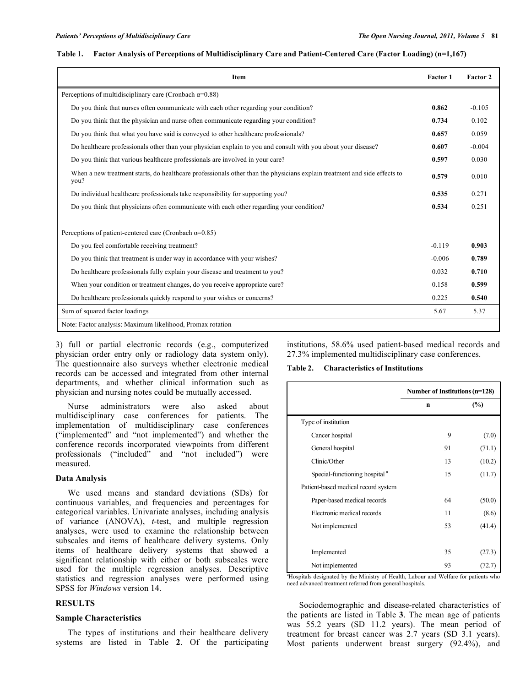## **Table 1. Factor Analysis of Perceptions of Multidisciplinary Care and Patient-Centered Care (Factor Loading) (n=1,167)**

| Item                                                                                                                             | Factor 1 | Factor 2 |
|----------------------------------------------------------------------------------------------------------------------------------|----------|----------|
| Perceptions of multidisciplinary care (Cronbach $\alpha$ =0.88)                                                                  |          |          |
| Do you think that nurses often communicate with each other regarding your condition?                                             | 0.862    | $-0.105$ |
| Do you think that the physician and nurse often communicate regarding your condition?                                            | 0.734    | 0.102    |
| Do you think that what you have said is conveyed to other healthcare professionals?                                              | 0.657    | 0.059    |
| Do healthcare professionals other than your physician explain to you and consult with you about your disease?                    | 0.607    | $-0.004$ |
| Do you think that various healthcare professionals are involved in your care?                                                    | 0.597    | 0.030    |
| When a new treatment starts, do healthcare professionals other than the physicians explain treatment and side effects to<br>you? | 0.579    | 0.010    |
| Do individual healthcare professionals take responsibility for supporting you?                                                   | 0.535    | 0.271    |
| Do you think that physicians often communicate with each other regarding your condition?                                         | 0.534    | 0.251    |
| Perceptions of patient-centered care (Cronbach $\alpha$ =0.85)                                                                   |          |          |
| Do you feel comfortable receiving treatment?                                                                                     | $-0.119$ | 0.903    |
| Do you think that treatment is under way in accordance with your wishes?                                                         | $-0.006$ | 0.789    |
| Do healthcare professionals fully explain your disease and treatment to you?                                                     | 0.032    | 0.710    |
| When your condition or treatment changes, do you receive appropriate care?                                                       | 0.158    | 0.599    |
| Do healthcare professionals quickly respond to your wishes or concerns?                                                          | 0.225    | 0.540    |
| Sum of squared factor loadings                                                                                                   | 5.67     | 5.37     |
| Note: Factor analysis: Maximum likelihood, Promax rotation                                                                       |          |          |

3) full or partial electronic records (e.g., computerized physician order entry only or radiology data system only). The questionnaire also surveys whether electronic medical records can be accessed and integrated from other internal departments, and whether clinical information such as physician and nursing notes could be mutually accessed.

 Nurse administrators were also asked about multidisciplinary case conferences for patients. The implementation of multidisciplinary case conferences ("implemented" and "not implemented") and whether the conference records incorporated viewpoints from different professionals ("included" and "not included") were measured.

## **Data Analysis**

 We used means and standard deviations (SDs) for continuous variables, and frequencies and percentages for categorical variables. Univariate analyses, including analysis of variance (ANOVA), *t*-test, and multiple regression analyses, were used to examine the relationship between subscales and items of healthcare delivery systems. Only items of healthcare delivery systems that showed a significant relationship with either or both subscales were used for the multiple regression analyses. Descriptive statistics and regression analyses were performed using SPSS for *Windows* version 14.

## **RESULTS**

#### **Sample Characteristics**

 The types of institutions and their healthcare delivery systems are listed in Table **2**. Of the participating institutions, 58.6% used patient-based medical records and 27.3% implemented multidisciplinary case conferences.

**Table 2. Characteristics of Institutions** 

|                                           | Number of Institutions (n=128) |        |  |
|-------------------------------------------|--------------------------------|--------|--|
|                                           | $\mathbf n$                    | $(\%)$ |  |
| Type of institution                       |                                |        |  |
| Cancer hospital                           | 9                              | (7.0)  |  |
| General hospital                          | 91                             | (71.1) |  |
| Clinic/Other                              | 13                             | (10.2) |  |
| Special-functioning hospital <sup>a</sup> | 15                             | (11.7) |  |
| Patient-based medical record system       |                                |        |  |
| Paper-based medical records               | 64                             | (50.0) |  |
| Electronic medical records                | 11                             | (8.6)  |  |
| Not implemented                           | 53                             | (41.4) |  |
|                                           |                                |        |  |
| Implemented                               | 35                             | (27.3) |  |
| Not implemented                           | 93                             |        |  |

<sup>a</sup>Hospitals designated by the Ministry of Health, Labour and Welfare for patients who need advanced treatment referred from general hospitals.

 Sociodemographic and disease-related characteristics of the patients are listed in Table **3**. The mean age of patients was 55.2 years (SD 11.2 years). The mean period of treatment for breast cancer was 2.7 years (SD 3.1 years). Most patients underwent breast surgery (92.4%), and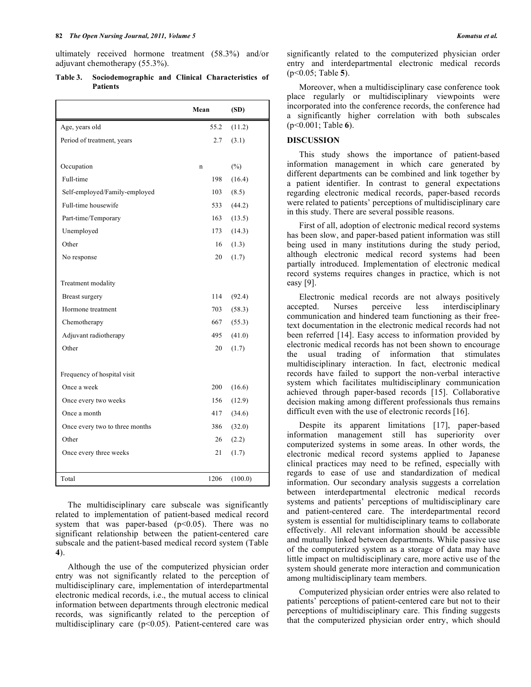ultimately received hormone treatment (58.3%) and/or adjuvant chemotherapy (55.3%).

**Table 3. Sociodemographic and Clinical Characteristics of Patients** 

|                                | Mean | (SD)    |
|--------------------------------|------|---------|
| Age, years old                 | 55.2 | (11.2)  |
| Period of treatment, years     | 2.7  | (3.1)   |
|                                |      |         |
| Occupation                     | n    | $(\%)$  |
| Full-time                      | 198  | (16.4)  |
| Self-employed/Family-employed  | 103  | (8.5)   |
| Full-time housewife            | 533  | (44.2)  |
| Part-time/Temporary            | 163  | (13.5)  |
| Unemployed                     | 173  | (14.3)  |
| Other                          | 16   | (1.3)   |
| No response                    | 20   | (1.7)   |
|                                |      |         |
| Treatment modality             |      |         |
| Breast surgery                 | 114  | (92.4)  |
| Hormone treatment              | 703  | (58.3)  |
| Chemotherapy                   | 667  | (55.3)  |
| Adjuvant radiotherapy          | 495  | (41.0)  |
| Other                          | 20   | (1.7)   |
|                                |      |         |
| Frequency of hospital visit    |      |         |
| Once a week                    | 200  | (16.6)  |
| Once every two weeks           | 156  | (12.9)  |
| Once a month                   | 417  | (34.6)  |
| Once every two to three months | 386  | (32.0)  |
| Other                          | 26   | (2.2)   |
| Once every three weeks         | 21   | (1.7)   |
|                                |      |         |
| Total                          | 1206 | (100.0) |

 The multidisciplinary care subscale was significantly related to implementation of patient-based medical record system that was paper-based  $(p<0.05)$ . There was no significant relationship between the patient-centered care subscale and the patient-based medical record system (Table **4**).

 Although the use of the computerized physician order entry was not significantly related to the perception of multidisciplinary care, implementation of interdepartmental electronic medical records, i.e., the mutual access to clinical information between departments through electronic medical records, was significantly related to the perception of multidisciplinary care (p<0.05). Patient-centered care was

significantly related to the computerized physician order entry and interdepartmental electronic medical records (p<0.05; Table **5**).

 Moreover, when a multidisciplinary case conference took place regularly or multidisciplinary viewpoints were incorporated into the conference records, the conference had a significantly higher correlation with both subscales (p<0.001; Table **6**).

## **DISCUSSION**

 This study shows the importance of patient-based information management in which care generated by different departments can be combined and link together by a patient identifier. In contrast to general expectations regarding electronic medical records, paper-based records were related to patients' perceptions of multidisciplinary care in this study. There are several possible reasons.

 First of all, adoption of electronic medical record systems has been slow, and paper-based patient information was still being used in many institutions during the study period, although electronic medical record systems had been partially introduced. Implementation of electronic medical record systems requires changes in practice, which is not easy [9].

 Electronic medical records are not always positively accepted. Nurses perceive less interdisciplinary communication and hindered team functioning as their freetext documentation in the electronic medical records had not been referred [14]. Easy access to information provided by electronic medical records has not been shown to encourage the usual trading of information that stimulates multidisciplinary interaction. In fact, electronic medical records have failed to support the non-verbal interactive system which facilitates multidisciplinary communication achieved through paper-based records [15]. Collaborative decision making among different professionals thus remains difficult even with the use of electronic records [16].

 Despite its apparent limitations [17], paper-based information management still has superiority over computerized systems in some areas. In other words, the electronic medical record systems applied to Japanese clinical practices may need to be refined, especially with regards to ease of use and standardization of medical information. Our secondary analysis suggests a correlation between interdepartmental electronic medical records systems and patients' perceptions of multidisciplinary care and patient-centered care. The interdepartmental record system is essential for multidisciplinary teams to collaborate effectively. All relevant information should be accessible and mutually linked between departments. While passive use of the computerized system as a storage of data may have little impact on multidisciplinary care, more active use of the system should generate more interaction and communication among multidisciplinary team members.

 Computerized physician order entries were also related to patients' perceptions of patient-centered care but not to their perceptions of multidisciplinary care. This finding suggests that the computerized physician order entry, which should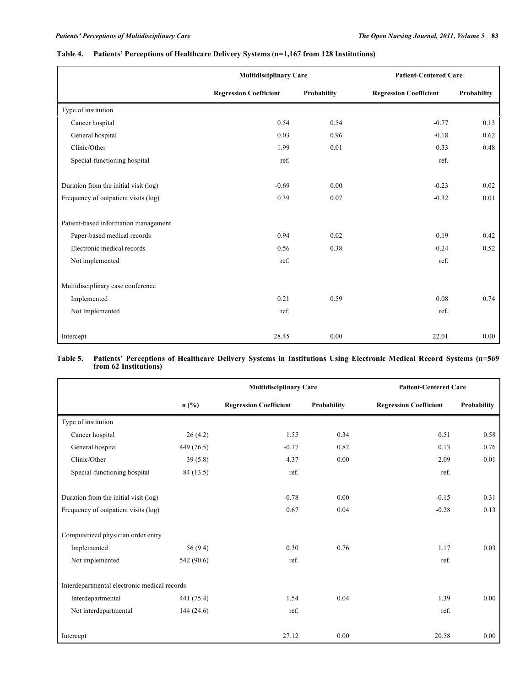|                                       | <b>Multidisciplinary Care</b> |             | <b>Patient-Centered Care</b>  |             |
|---------------------------------------|-------------------------------|-------------|-------------------------------|-------------|
|                                       | <b>Regression Coefficient</b> | Probability | <b>Regression Coefficient</b> | Probability |
| Type of institution                   |                               |             |                               |             |
| Cancer hospital                       | 0.54                          | 0.54        | $-0.77$                       | 0.13        |
| General hospital                      | 0.03                          | 0.96        | $-0.18$                       | 0.62        |
| Clinic/Other                          | 1.99                          | 0.01        | 0.33                          | 0.48        |
| Special-functioning hospital          | ref.                          |             | ref.                          |             |
|                                       |                               |             |                               |             |
| Duration from the initial visit (log) | $-0.69$                       | 0.00        | $-0.23$                       | 0.02        |
| Frequency of outpatient visits (log)  | 0.39                          | 0.07        | $-0.32$                       | 0.01        |
| Patient-based information management  |                               |             |                               |             |
| Paper-based medical records           | 0.94                          | 0.02        | 0.19                          | 0.42        |
| Electronic medical records            | 0.56                          | 0.38        | $-0.24$                       | 0.52        |
| Not implemented                       | ref.                          |             | ref.                          |             |
| Multidisciplinary case conference     |                               |             |                               |             |
| Implemented                           | 0.21                          | 0.59        | 0.08                          | 0.74        |
| Not Implemented                       | ref.                          |             | ref.                          |             |
| Intercept                             | 28.45                         | 0.00        | 22.01                         | 0.00        |

## **Table 4. Patients' Perceptions of Healthcare Delivery Systems (n=1,167 from 128 Institutions)**

## **Table 5. Patients' Perceptions of Healthcare Delivery Systems in Institutions Using Electronic Medical Record Systems (n=569 from 62 Institutions)**

|                                              |            | <b>Multidisciplinary Care</b> |             | <b>Patient-Centered Care</b>  |             |
|----------------------------------------------|------------|-------------------------------|-------------|-------------------------------|-------------|
|                                              | $n$ (%)    | <b>Regression Coefficient</b> | Probability | <b>Regression Coefficient</b> | Probability |
| Type of institution                          |            |                               |             |                               |             |
| Cancer hospital                              | 26(4.2)    | 1.55                          | 0.34        | 0.51                          | 0.58        |
| General hospital                             | 449 (76.5) | $-0.17$                       | 0.82        | 0.13                          | 0.76        |
| Clinic/Other                                 | 39(5.8)    | 4.37                          | 0.00        | 2.09                          | 0.01        |
| Special-functioning hospital                 | 84 (13.5)  | ref.                          |             | ref.                          |             |
| Duration from the initial visit (log)        |            | $-0.78$                       | 0.00        | $-0.15$                       | 0.31        |
| Frequency of outpatient visits (log)         |            | 0.67                          | 0.04        | $-0.28$                       | 0.13        |
| Computerized physician order entry           |            |                               |             |                               |             |
| Implemented                                  | 56 (9.4)   | 0.30                          | 0.76        | 1.17                          | 0.03        |
| Not implemented                              | 542 (90.6) | ref.                          |             | ref.                          |             |
| Interdepartmental electronic medical records |            |                               |             |                               |             |
| Interdepartmental                            | 441 (75.4) | 1.54                          | 0.04        | 1.39                          | 0.00        |
| Not interdepartmental                        | 144(24.6)  | ref.                          |             | ref.                          |             |
| Intercept                                    |            | 27.12                         | 0.00        | 20.58                         | 0.00        |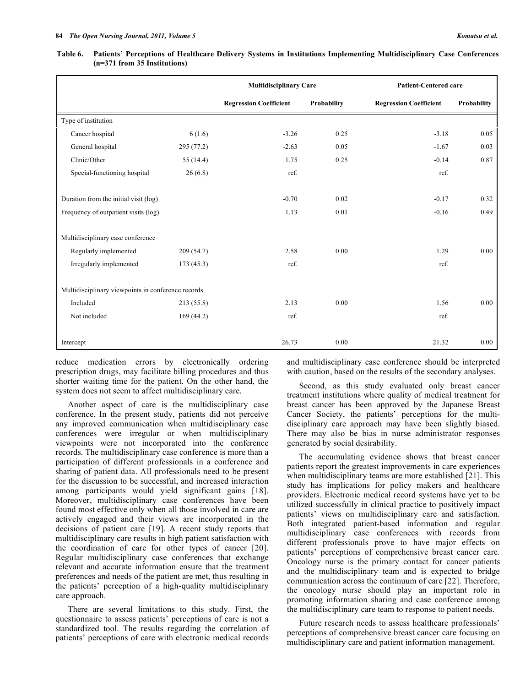| Table 6. Patients' Perceptions of Healthcare Delivery Systems in Institutions Implementing Multidisciplinary Case Conferences |
|-------------------------------------------------------------------------------------------------------------------------------|
| $(n=371$ from 35 Institutions)                                                                                                |

|                                                    |             | <b>Multidisciplinary Care</b> |             | <b>Patient-Centered care</b>  |             |
|----------------------------------------------------|-------------|-------------------------------|-------------|-------------------------------|-------------|
|                                                    |             | <b>Regression Coefficient</b> | Probability | <b>Regression Coefficient</b> | Probability |
| Type of institution                                |             |                               |             |                               |             |
| Cancer hospital                                    | 6(1.6)      | $-3.26$                       | 0.25        | $-3.18$                       | 0.05        |
| General hospital                                   | 295 (77.2)  | $-2.63$                       | 0.05        | $-1.67$                       | 0.03        |
| Clinic/Other                                       | 55 $(14.4)$ | 1.75                          | 0.25        | $-0.14$                       | 0.87        |
| Special-functioning hospital                       | 26(6.8)     | ref.                          |             | ref.                          |             |
| Duration from the initial visit (log)              |             | $-0.70$                       | 0.02        | $-0.17$                       | 0.32        |
| Frequency of outpatient visits (log)               |             | 1.13                          | 0.01        | $-0.16$                       | 0.49        |
| Multidisciplinary case conference                  |             |                               |             |                               |             |
| Regularly implemented                              | 209 (54.7)  | 2.58                          | 0.00        | 1.29                          | 0.00        |
| Irregularly implemented                            | 173(45.3)   | ref.                          |             | ref.                          |             |
| Multidisciplinary viewpoints in conference records |             |                               |             |                               |             |
| Included                                           | 213(55.8)   | 2.13                          | 0.00        | 1.56                          | 0.00        |
| Not included                                       | 169(44.2)   | ref.                          |             | ref.                          |             |
| Intercept                                          |             | 26.73                         | 0.00        | 21.32                         | 0.00        |

reduce medication errors by electronically ordering prescription drugs, may facilitate billing procedures and thus shorter waiting time for the patient. On the other hand, the system does not seem to affect multidisciplinary care.

 Another aspect of care is the multidisciplinary case conference. In the present study, patients did not perceive any improved communication when multidisciplinary case conferences were irregular or when multidisciplinary viewpoints were not incorporated into the conference records. The multidisciplinary case conference is more than a participation of different professionals in a conference and sharing of patient data. All professionals need to be present for the discussion to be successful, and increased interaction among participants would yield significant gains [18]. Moreover, multidisciplinary case conferences have been found most effective only when all those involved in care are actively engaged and their views are incorporated in the decisions of patient care [19]. A recent study reports that multidisciplinary care results in high patient satisfaction with the coordination of care for other types of cancer [20]. Regular multidisciplinary case conferences that exchange relevant and accurate information ensure that the treatment preferences and needs of the patient are met, thus resulting in the patients' perception of a high-quality multidisciplinary care approach.

 There are several limitations to this study. First, the questionnaire to assess patients' perceptions of care is not a standardized tool. The results regarding the correlation of patients' perceptions of care with electronic medical records and multidisciplinary case conference should be interpreted with caution, based on the results of the secondary analyses.

 Second, as this study evaluated only breast cancer treatment institutions where quality of medical treatment for breast cancer has been approved by the Japanese Breast Cancer Society, the patients' perceptions for the multidisciplinary care approach may have been slightly biased. There may also be bias in nurse administrator responses generated by social desirability.

 The accumulating evidence shows that breast cancer patients report the greatest improvements in care experiences when multidisciplinary teams are more established [21]. This study has implications for policy makers and healthcare providers. Electronic medical record systems have yet to be utilized successfully in clinical practice to positively impact patients' views on multidisciplinary care and satisfaction. Both integrated patient-based information and regular multidisciplinary case conferences with records from different professionals prove to have major effects on patients' perceptions of comprehensive breast cancer care. Oncology nurse is the primary contact for cancer patients and the multidisciplinary team and is expected to bridge communication across the continuum of care [22]. Therefore, the oncology nurse should play an important role in promoting information sharing and case conference among the multidisciplinary care team to response to patient needs.

 Future research needs to assess healthcare professionals' perceptions of comprehensive breast cancer care focusing on multidisciplinary care and patient information management.